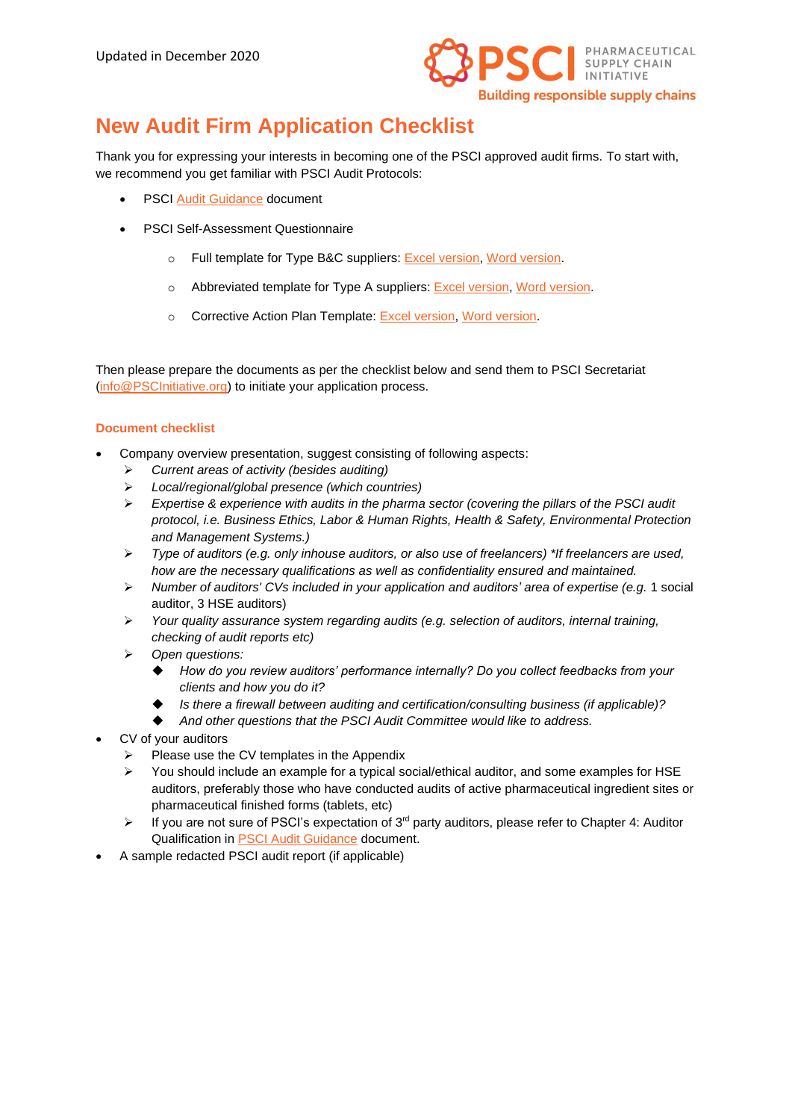

# **New Audit Firm Application Checklist**

Thank you for expressing your interests in becoming one of the PSCI approved audit firms. To start with, we recommend you get familiar with PSCI Audit Protocols:

- **PSCI [Audit Guidance](https://pscinitiative.org/resource?resource=3) document**
- PSCI Self-Assessment Questionnaire
	- o Full template for Type B&C suppliers: Excel [version,](https://pscinitiative.org/resource?resource=319) Word [version.](https://pscinitiative.org/resource?resource=32)
	- o Abbreviated template for Type A suppliers: Excel [version,](https://pscinitiative.org/resource?resource=318) Word [version.](https://pscinitiative.org/resource?resource=31)
	- o Corrective Action Plan Template: [Excel version,](https://pscinitiative.org/resource?resource=303) [Word version.](https://pscinitiative.org/resource?resource=285)

Then please prepare the documents as per the checklist below and send them to PSCI Secretariat [\(info@PSCInitiative.org\)](mailto:info@PSCInitiative.org) to initiate your application process.

#### **Document checklist**

- Company overview presentation, suggest consisting of following aspects:
	- ➢ *Current areas of activity (besides auditing)*
	- ➢ *Local/regional/global presence (which countries)*
	- ➢ *Expertise & experience with audits in the pharma sector (covering the pillars of the PSCI audit protocol, i.e. Business Ethics, Labor & Human Rights, Health & Safety, Environmental Protection and Management Systems.)*
	- ➢ *Type of auditors (e.g. only inhouse auditors, or also use of freelancers) \*If freelancers are used, how are the necessary qualifications as well as confidentiality ensured and maintained.*
	- ➢ *Number of auditors' CVs included in your application and auditors' area of expertise (e.g.* 1 social auditor, 3 HSE auditors)
	- ➢ *Your quality assurance system regarding audits (e.g. selection of auditors, internal training, checking of audit reports etc)*
	- ➢ *Open questions:* 
		- ◆ *How do you review auditors' performance internally? Do you collect feedbacks from your clients and how you do it?*
		- ◆ *Is there a firewall between auditing and certification/consulting business (if applicable)?*
		- And other questions that the PSCI Audit Committee would like to address.
- CV of your auditors
	- $\triangleright$  Please use the CV templates in the Appendix
	- $\triangleright$  You should include an example for a typical social/ethical auditor, and some examples for HSE auditors, preferably those who have conducted audits of active pharmaceutical ingredient sites or pharmaceutical finished forms (tablets, etc)
	- $\triangleright$  If you are not sure of PSCI's expectation of 3<sup>rd</sup> party auditors, please refer to Chapter 4: Auditor Qualification in [PSCI Audit Guidance](https://pscinitiative.org/resource?resource=3) document.
- A sample redacted PSCI audit report (if applicable)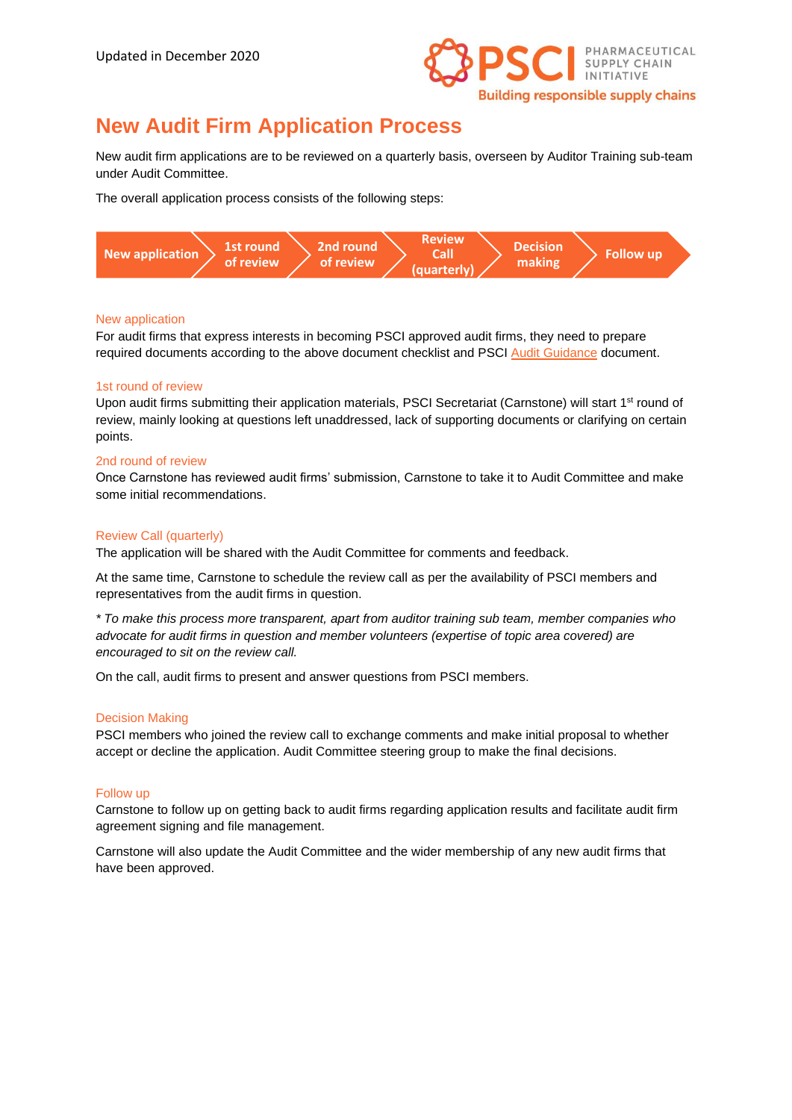

## **New Audit Firm Application Process**

New audit firm applications are to be reviewed on a quarterly basis, overseen by Auditor Training sub-team under Audit Committee.

The overall application process consists of the following steps:



#### New application

For audit firms that express interests in becoming PSCI approved audit firms, they need to prepare required documents according to the above document checklist and PSCI [Audit Guidance](https://pscinitiative.org/resource?resource=3) document.

#### 1st round of review

Upon audit firms submitting their application materials, PSCI Secretariat (Carnstone) will start 1<sup>st</sup> round of review, mainly looking at questions left unaddressed, lack of supporting documents or clarifying on certain points.

#### 2nd round of review

Once Carnstone has reviewed audit firms' submission, Carnstone to take it to Audit Committee and make some initial recommendations.

#### Review Call (quarterly)

The application will be shared with the Audit Committee for comments and feedback.

At the same time, Carnstone to schedule the review call as per the availability of PSCI members and representatives from the audit firms in question.

*\* To make this process more transparent, apart from auditor training sub team, member companies who advocate for audit firms in question and member volunteers (expertise of topic area covered) are encouraged to sit on the review call.*

On the call, audit firms to present and answer questions from PSCI members.

#### Decision Making

PSCI members who joined the review call to exchange comments and make initial proposal to whether accept or decline the application. Audit Committee steering group to make the final decisions.

#### Follow up

Carnstone to follow up on getting back to audit firms regarding application results and facilitate audit firm agreement signing and file management.

Carnstone will also update the Audit Committee and the wider membership of any new audit firms that have been approved.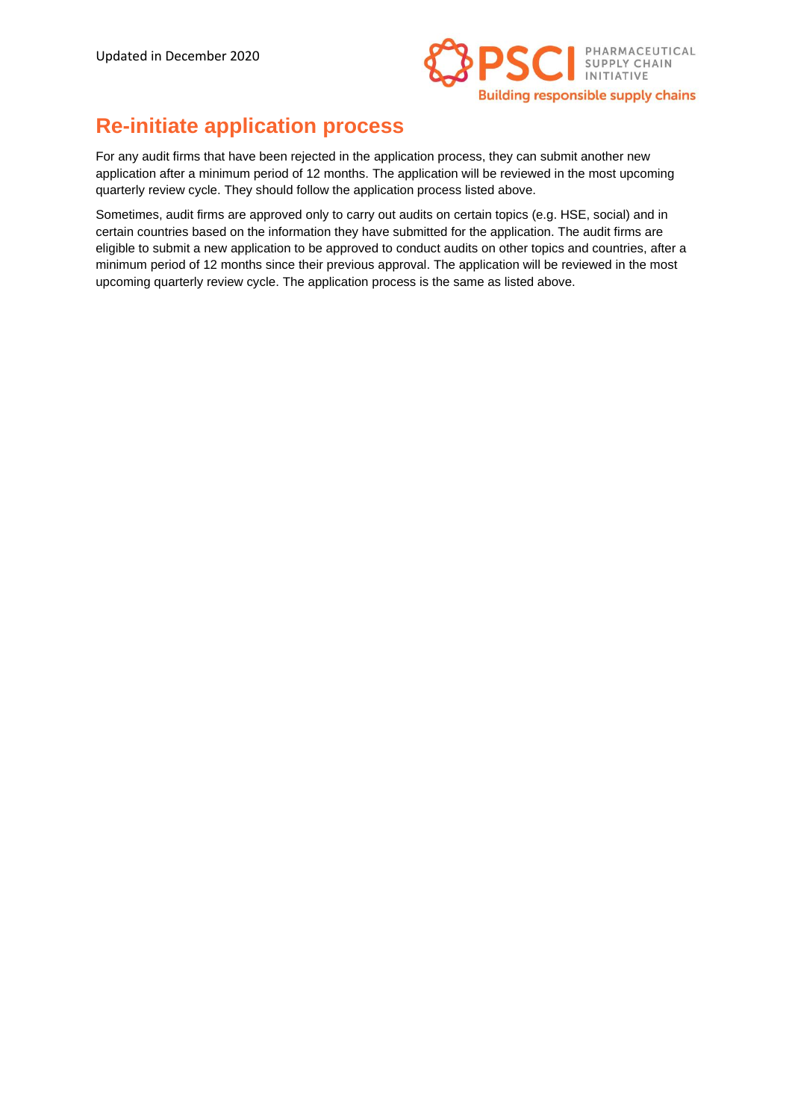

### **Re-initiate application process**

For any audit firms that have been rejected in the application process, they can submit another new application after a minimum period of 12 months. The application will be reviewed in the most upcoming quarterly review cycle. They should follow the application process listed above.

Sometimes, audit firms are approved only to carry out audits on certain topics (e.g. HSE, social) and in certain countries based on the information they have submitted for the application. The audit firms are eligible to submit a new application to be approved to conduct audits on other topics and countries, after a minimum period of 12 months since their previous approval. The application will be reviewed in the most upcoming quarterly review cycle. The application process is the same as listed above.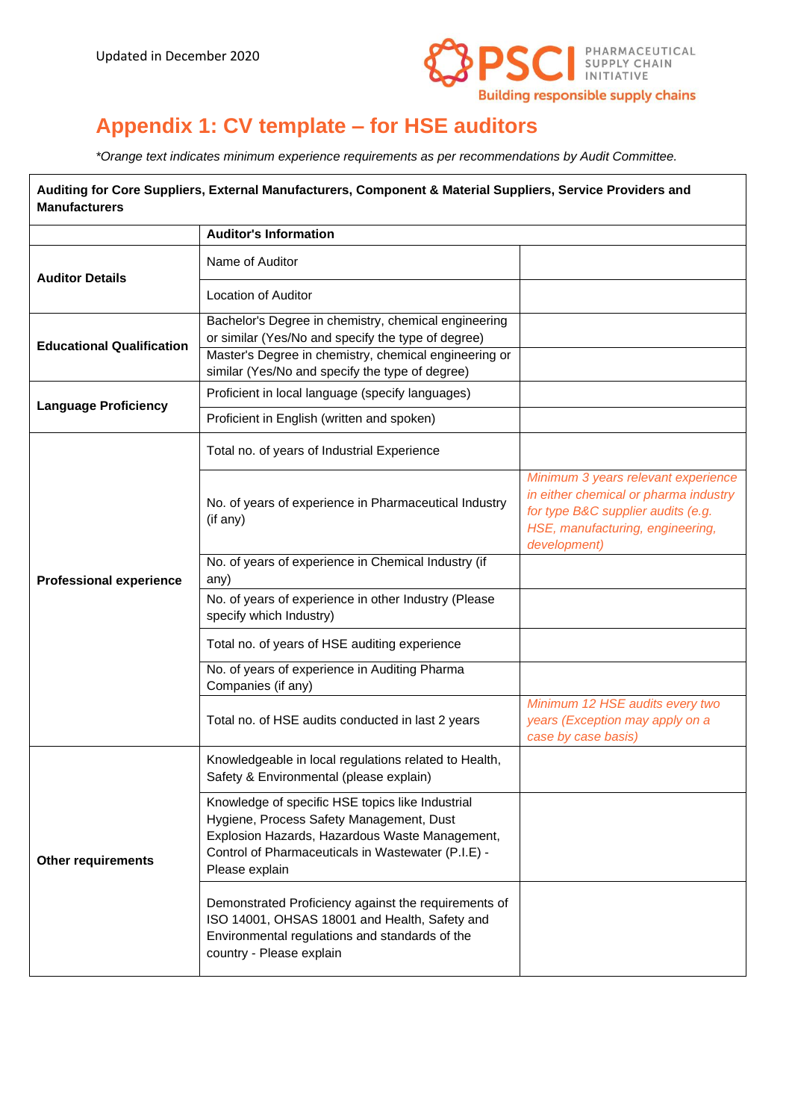

# **Appendix 1: CV template – for HSE auditors**

*\*Orange text indicates minimum experience requirements as per recommendations by Audit Committee.*

| Auditing for Core Suppliers, External Manufacturers, Component & Material Suppliers, Service Providers and<br><b>Manufacturers</b> |                                                                                                                                                                                                                        |                                                                                                                                                                        |  |
|------------------------------------------------------------------------------------------------------------------------------------|------------------------------------------------------------------------------------------------------------------------------------------------------------------------------------------------------------------------|------------------------------------------------------------------------------------------------------------------------------------------------------------------------|--|
|                                                                                                                                    | <b>Auditor's Information</b>                                                                                                                                                                                           |                                                                                                                                                                        |  |
| <b>Auditor Details</b>                                                                                                             | Name of Auditor                                                                                                                                                                                                        |                                                                                                                                                                        |  |
|                                                                                                                                    | <b>Location of Auditor</b>                                                                                                                                                                                             |                                                                                                                                                                        |  |
| <b>Educational Qualification</b>                                                                                                   | Bachelor's Degree in chemistry, chemical engineering<br>or similar (Yes/No and specify the type of degree)                                                                                                             |                                                                                                                                                                        |  |
|                                                                                                                                    | Master's Degree in chemistry, chemical engineering or<br>similar (Yes/No and specify the type of degree)                                                                                                               |                                                                                                                                                                        |  |
|                                                                                                                                    | Proficient in local language (specify languages)                                                                                                                                                                       |                                                                                                                                                                        |  |
| <b>Language Proficiency</b>                                                                                                        | Proficient in English (written and spoken)                                                                                                                                                                             |                                                                                                                                                                        |  |
| <b>Professional experience</b>                                                                                                     | Total no. of years of Industrial Experience                                                                                                                                                                            |                                                                                                                                                                        |  |
|                                                                                                                                    | No. of years of experience in Pharmaceutical Industry<br>(if any)                                                                                                                                                      | Minimum 3 years relevant experience<br>in either chemical or pharma industry<br>for type B&C supplier audits (e.g.<br>HSE, manufacturing, engineering,<br>development) |  |
|                                                                                                                                    | No. of years of experience in Chemical Industry (if<br>any)                                                                                                                                                            |                                                                                                                                                                        |  |
|                                                                                                                                    | No. of years of experience in other Industry (Please<br>specify which Industry)                                                                                                                                        |                                                                                                                                                                        |  |
|                                                                                                                                    | Total no. of years of HSE auditing experience                                                                                                                                                                          |                                                                                                                                                                        |  |
|                                                                                                                                    | No. of years of experience in Auditing Pharma<br>Companies (if any)                                                                                                                                                    |                                                                                                                                                                        |  |
|                                                                                                                                    | Total no. of HSE audits conducted in last 2 years                                                                                                                                                                      | Minimum 12 HSE audits every two<br>years (Exception may apply on a<br>case by case basis)                                                                              |  |
| <b>Other requirements</b>                                                                                                          | Knowledgeable in local regulations related to Health,<br>Safety & Environmental (please explain)                                                                                                                       |                                                                                                                                                                        |  |
|                                                                                                                                    | Knowledge of specific HSE topics like Industrial<br>Hygiene, Process Safety Management, Dust<br>Explosion Hazards, Hazardous Waste Management,<br>Control of Pharmaceuticals in Wastewater (P.I.E) -<br>Please explain |                                                                                                                                                                        |  |
|                                                                                                                                    | Demonstrated Proficiency against the requirements of<br>ISO 14001, OHSAS 18001 and Health, Safety and<br>Environmental regulations and standards of the<br>country - Please explain                                    |                                                                                                                                                                        |  |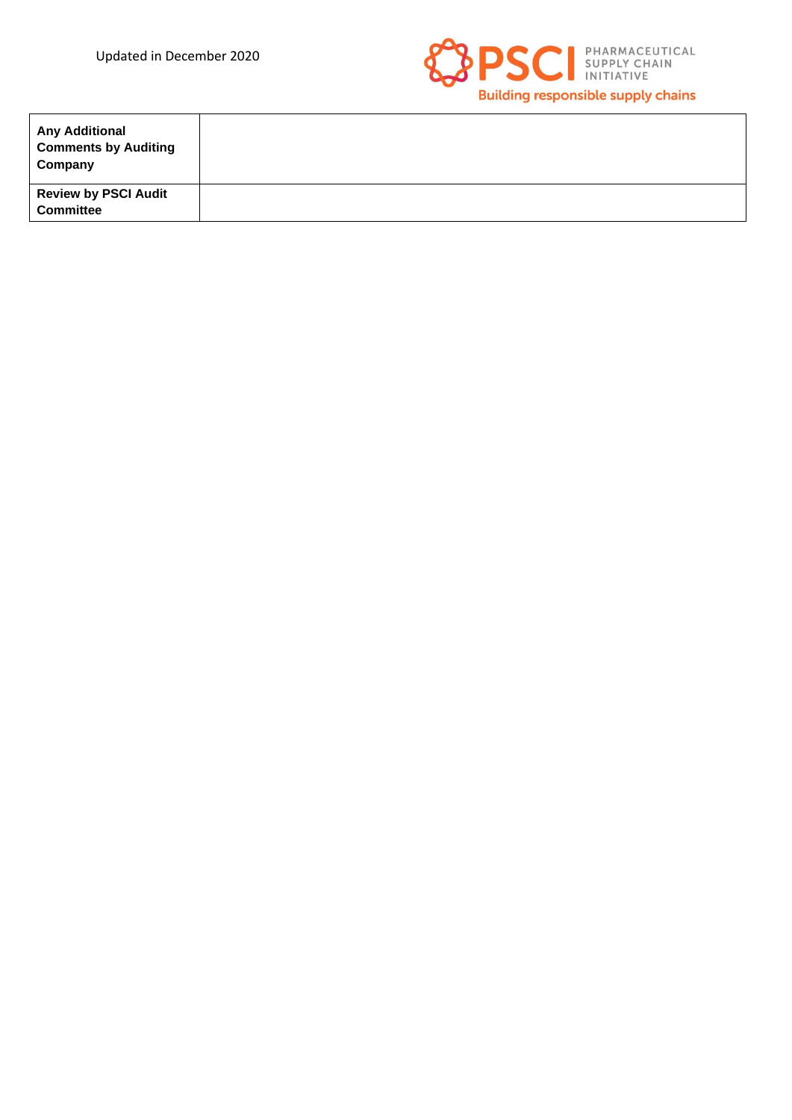

| <b>Any Additional</b><br><b>Comments by Auditing</b><br>Company |  |
|-----------------------------------------------------------------|--|
| <b>Review by PSCI Audit</b><br><b>Committee</b>                 |  |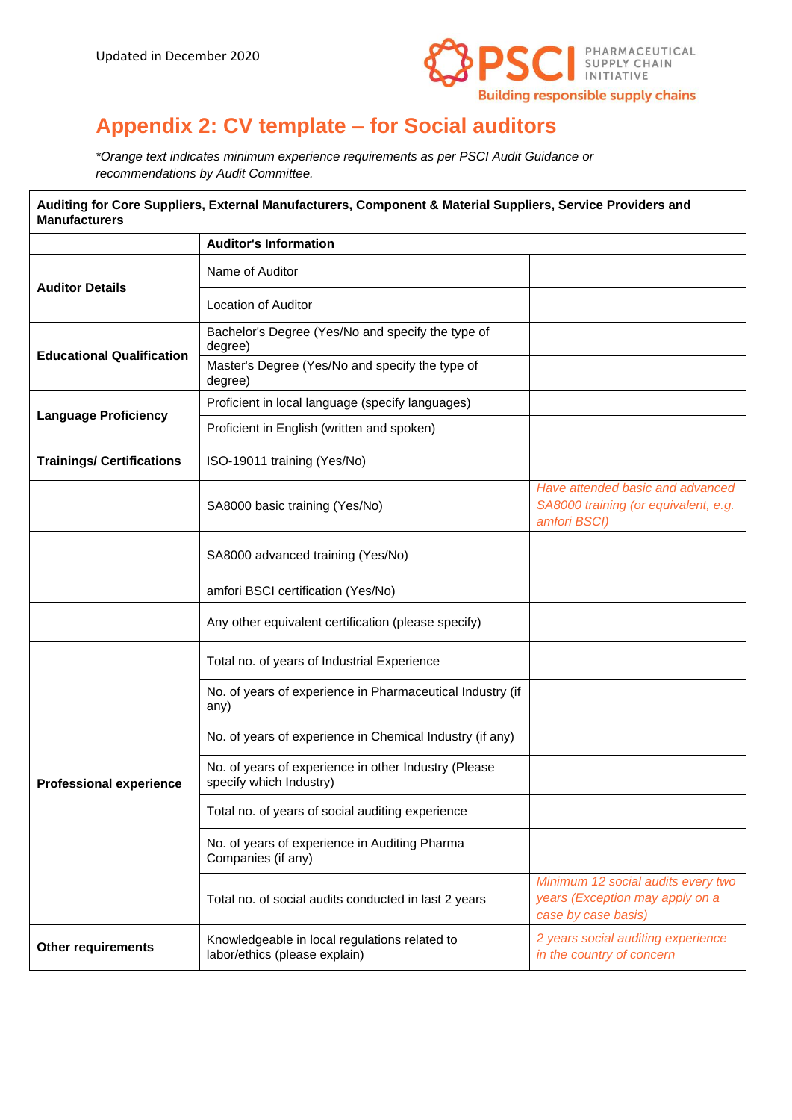

# **Appendix 2: CV template – for Social auditors**

*\*Orange text indicates minimum experience requirements as per PSCI Audit Guidance or recommendations by Audit Committee.*

| Auditing for Core Suppliers, External Manufacturers, Component & Material Suppliers, Service Providers and<br><b>Manufacturers</b> |                                                                                 |                                                                                              |
|------------------------------------------------------------------------------------------------------------------------------------|---------------------------------------------------------------------------------|----------------------------------------------------------------------------------------------|
|                                                                                                                                    | <b>Auditor's Information</b>                                                    |                                                                                              |
| <b>Auditor Details</b>                                                                                                             | Name of Auditor                                                                 |                                                                                              |
|                                                                                                                                    | <b>Location of Auditor</b>                                                      |                                                                                              |
| <b>Educational Qualification</b>                                                                                                   | Bachelor's Degree (Yes/No and specify the type of<br>degree)                    |                                                                                              |
|                                                                                                                                    | Master's Degree (Yes/No and specify the type of<br>degree)                      |                                                                                              |
| <b>Language Proficiency</b>                                                                                                        | Proficient in local language (specify languages)                                |                                                                                              |
|                                                                                                                                    | Proficient in English (written and spoken)                                      |                                                                                              |
| <b>Trainings/ Certifications</b>                                                                                                   | ISO-19011 training (Yes/No)                                                     |                                                                                              |
|                                                                                                                                    | SA8000 basic training (Yes/No)                                                  | Have attended basic and advanced<br>SA8000 training (or equivalent, e.g.<br>amfori BSCI)     |
|                                                                                                                                    | SA8000 advanced training (Yes/No)                                               |                                                                                              |
|                                                                                                                                    | amfori BSCI certification (Yes/No)                                              |                                                                                              |
|                                                                                                                                    | Any other equivalent certification (please specify)                             |                                                                                              |
|                                                                                                                                    | Total no. of years of Industrial Experience                                     |                                                                                              |
|                                                                                                                                    | No. of years of experience in Pharmaceutical Industry (if<br>any)               |                                                                                              |
|                                                                                                                                    | No. of years of experience in Chemical Industry (if any)                        |                                                                                              |
| <b>Professional experience</b>                                                                                                     | No. of years of experience in other Industry (Please<br>specify which Industry) |                                                                                              |
|                                                                                                                                    | Total no. of years of social auditing experience                                |                                                                                              |
|                                                                                                                                    | No. of years of experience in Auditing Pharma<br>Companies (if any)             |                                                                                              |
|                                                                                                                                    | Total no. of social audits conducted in last 2 years                            | Minimum 12 social audits every two<br>years (Exception may apply on a<br>case by case basis) |
| <b>Other requirements</b>                                                                                                          | Knowledgeable in local regulations related to<br>labor/ethics (please explain)  | 2 years social auditing experience<br>in the country of concern                              |